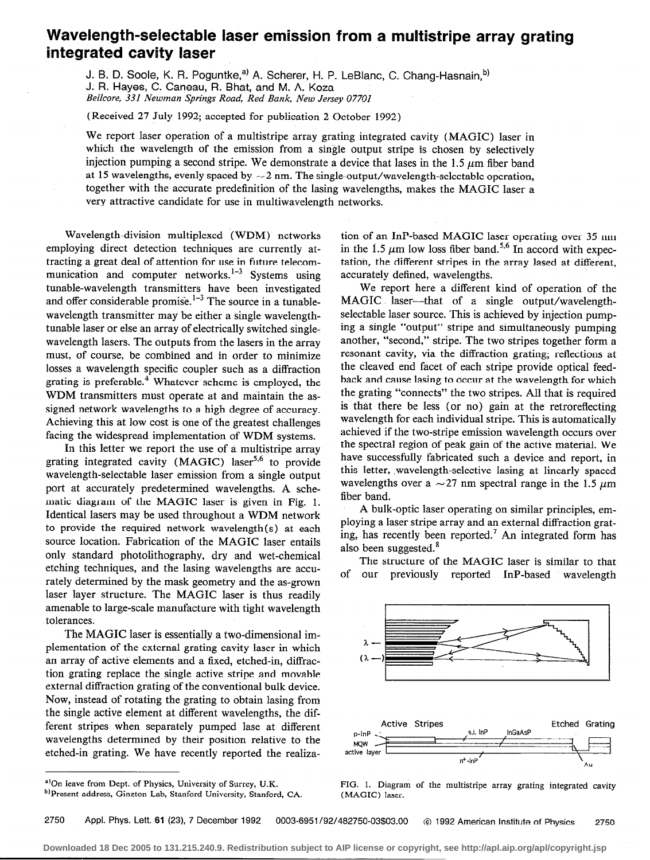## Wavelength-selectable laser emission from a multistripe array grating integrated cavity laser

J. B. D. Soole, K. R. Poguntke,<sup>a)</sup> A. Scherer, H. P. LeBlanc, C. Chang-Hasnain,<sup>b)</sup> J. R. Hayes, C. Caneau, R. Bhat, and M. A. Koza Bellcore, 331 Newman Springs Road, Red Bank, New Jersey 07701

(Received 27 July 1992; accepted for publication 2 October 1992)

We report laser operation of a multistripe array grating integrated cavity (MAGIC) laser in which the wavelength of the emission from a single output stripe is chosen by selectively injection pumping a second stripe. We demonstrate a device that lases in the 1.5  $\mu$ m fiber band at 15 wavelengths, evenly spaced by  $\sim$  2 nm. The single-output/wavelength-selectable operation, together with the accurate predefinition of the lasing wavelengths, makes the MAGIC laser a very attractive candidate for use in multiwavelength networks.

Wavelength-division multiplexed ( WDM) networks employing direct detection techniques are currently attracting a great deal of attention for use in future telecommunication and computer networks. $1-3$  Systems using tunable-wavelength transmitters have been investigated and offer considerable promise. $1-3$  The source in a tunablewavelength transmitter may be either a single wavelengthtunable laser or else an array of electrically switched singlewavelength lasers. The outputs from the lasers in the array must, of course, be combined and in order to minimize losses a wavelength specific coupler such as a diffraction grating is preferable." Whatever scheme is employed, the WDM transmitters must operate at and maintain the assigned network wavelengths to a high degree of accuracy. Achieving this at low cost is one of the greatest challenges facing the widespread implementation of WDM systems.

In this letter we report the use of a multistripe array grating integrated cavity (MAGIC) laser<sup>5,6</sup> to provide wavelength-selectable laser emission from a single output port at accurately predetermined wavelengths. A schematic diagram of the MAGIC laser is given in Fig. 1. Identical lasers may be used throughout a WDM network to provide the required network wavelength(s) at each source location. Fabrication of the MAGIC laser entails only standard photolithography, dry and wet-chemical etching techniques, and the lasing wavelengths are accurately determined by the mask geometry and the as-grown laser layer structure. The MAGIC laser is thus readily amenable to large-scale manufacture with tight wavelength tolerances.

The MAGIC laser is essentially a two-dimensional implementation of the external grating cavity laser in which an array of active elements and a fixed, etched-in, diffraction grating replace the single active stripe and movable external diffraction grating of the conventional bulk device. Now, instead of rotating the grating to obtain lasing from the single active element at different wavelengths, the different stripes when separately pumped lase at different wavelengths determined by their position relative to the etched-in grating. We have recently reported the realization of an InP-based MAGIC laser operating over 35 nm in the 1.5  $\mu$ m low loss fiber band.<sup>5,6</sup> In accord with expectation, the different stripes in the array lased at different, accurately defined, wavelengths.

We report here a different kind of operation of the MAGIC laser—that of a single output/wavelengthselectable laser source. This is achieved by injection pumping a single "output" stripe and simultaneously pumping another, "second," stripe. The two stripes together form a resonant cavity, via the diffraction grating; reflections at the cleaved end facet of each stripe provide optical feedback and cause lasing to occur at the wavelength for which the grating "connects" the two stripes. All that is required is that there be less (or no) gain at the retroreflecting wavelength for each individual stripe. This is automatically achieved if the two-stripe emission wavelength occurs over the spectral region of peak gain of the active material. We have successfully fabricated such a device and report, in this letter, wavelength-selective lasing at linearly spaced wavelengths over a  $\sim$  27 nm spectral range in the 1.5  $\mu$ m fiber band.

A bulk-optic laser operating on similar principles, employing a laser stripe array and an external diffraction grating, has recently been reported.' An integrated form has also been suggested.'

The structure of the MAGIC laser is similar to that of our previously reported InP-based wavelength



FIG. 1. Diagram of the multistripe array grating integrated cavity (MAGIC) laser.

2750 Appt. Phys. Lett 61 (23), 7 December 1992 0003~6951/92/482750-03\$03.00 @ 1992 American Institute of Physics 2750

<sup>&</sup>lt;sup>a)</sup>On leave from Dept. of Physics, University of Surrey, U.K. b)Present address, Ginzton Lab, Stanford University, Stanford, CA.

**Downloaded 18 Dec 2005 to 131.215.240.9. Redistribution subject to AIP license or copyright, see http://apl.aip.org/apl/copyright.jsp**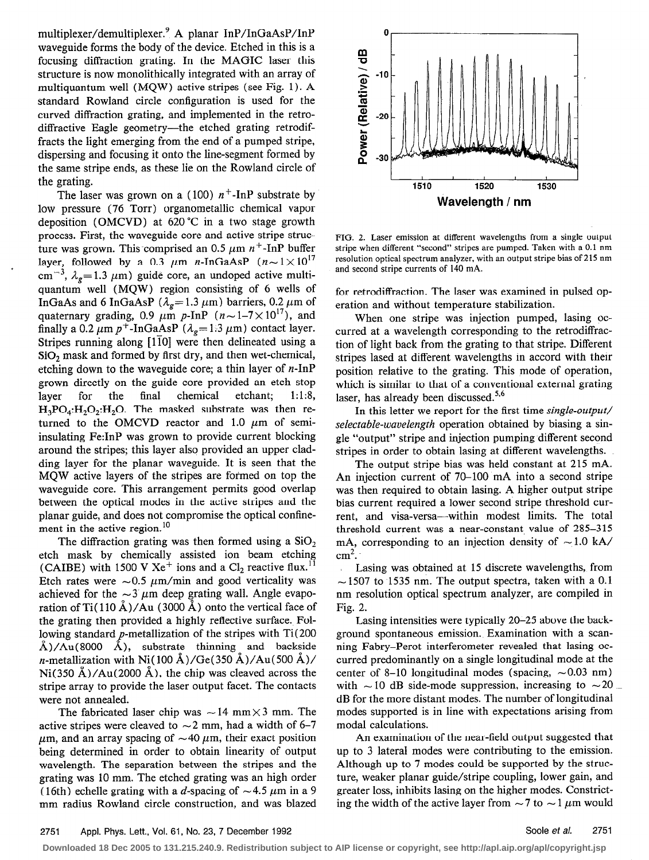multiplexer/demultiplexer.9 A planar InP/InGaAsP/InP waveguide forms the body of the device. Etched in this is a focusing diffraction grating. In the MAGIC laser this structure is now monolithically integrated with an array of multiquantum well (MQW) active stripes (see Fig. 1). A standard Rowland circle configuration is used for the curved diffraction grating, and implemented in the retrodiffractive Eagle geometry-the etched grating retrodiffracts the light emerging from the end of a pumped stripe, dispersing and focusing it onto the line-segment formed by the same stripe ends, as these lie on the Rowland circle of the grating.

The laser was grown on a (100)  $n^+$ -InP substrate by low pressure (76 Torr) organometallic chemical vapor deposition (OMCVD) at  $620^{\circ}$ C in a two stage growth process. First, the waveguide core and active stripe structure was grown. This comprised an 0.5  $\mu$ m n<sup>+</sup>-InP buffer layer, followed by a 0.3  $\mu$ m n-InGaAsP (n~1×10<sup>17</sup>) cm<sup>-3</sup>,  $\lambda_{\rm g}=1.3$   $\mu$ m) guide core, an undoped active multiquantum well (MQW) region consisting of 6 wells of InGaAs and 6 InGaAsP ( $\lambda_g$ =1.3  $\mu$ m) barriers, 0.2  $\mu$ m of quaternary grading, 0.9  $\mu$ m p-InP (n ~ 1-7 × 10<sup>17</sup>), and finally a 0.2  $\mu$ m p<sup>+</sup>-InGaAsP ( $\lambda_g$ = 1.3  $\mu$ m) contact layer. Stripes running along  $[1\overline{1}0]$  were then delineated using a  $SiO<sub>2</sub>$  mask and formed by first dry, and then wet-chemical, etching down to the waveguide core; a thin layer of  $n$ -InP grown directly on the guide core provided an etch stop layer for the final chemical etchant; 1:1:8,  $H_3PO_4:H_2O_2:H_2O$ . The masked substrate was then returned to the OMCVD reactor and 1.0  $\mu$ m of semiinsulating Fe:InP was grown to provide current blocking around the stripes; this layer also provided an upper cladding layer for the planar waveguide. It is seen that the MQW active layers of the stripes are formed on top the waveguide core. This arrangement permits good overlap between the optical modes in the active stripes and the planar guide, and does not compromise the optical confinement in the active region.<sup>10</sup>

The diffraction grating was then formed using a  $SiO<sub>2</sub>$ etch mask by chemically assisted ion beam etching (CAIBE) with 1500 V  $Xe^+$  ions and a Cl<sub>2</sub> reactive flux.<sup>11</sup> Etch rates were  $\sim 0.5 \ \mu \text{m/min}$  and good verticality was achieved for the  $\sim$ 3  $\mu$ m deep grating wall. Angle evaporation of Ti(110  $\AA$ )/Au (3000  $\AA$ ) onto the vertical face of the grating then provided a highly reflective surface. Following standard p-metallization of the stripes with Ti(200  $\AA$ )/Au(8000  $\AA$ ), substrate thinning and backside *n*-metallization with Ni(100 Å)/Ge(350 Å)/Au(500 Å)/  $Ni(350 \text{ Å})/Au(2000 \text{ Å})$ , the chip was cleaved across the stripe array to provide the laser output facet. The contacts were not annealed.

The fabricated laser chip was  $\sim$  14 mm $\times$ 3 mm. The active stripes were cleaved to  $\sim$  2 mm, had a width of 6–7  $\mu$ m, and an array spacing of  $\sim$  40  $\mu$ m, their exact position being determined in order to obtain linearity of output wavelength. The separation between the stripes and the grating was 10 mm. The etched grating was an high order (16th) echelle grating with a d-spacing of  $\sim$  4.5  $\mu$ m in a 9 mm radius Rowland circle construction, and was blazed



FIG. 2. Laser emission at different wavelengths from a single output stripe when different "second" stripes are pumped. Taken with a 0.1 nm resolution optical spectrum analyzer, with an output stripe bias of 215 nm and second stripe currents of 140 mA.

for retrodiffraction. The laser was examined in pulsed operation and without temperature stabilization.

When one stripe was injection pumped, lasing occurred at a wavelength corresponding to the retrodiffraction of light back from the grating to that stripe. Different stripes lased at different wavelengths in accord with their position relative to the grating. This mode of operation, which is similar to that of a conventional external grating laser, has already been discussed. $5.6$ 

In this letter we report for the first time single-output/ selectable-wavelength operation obtained by biasing a single "output" stripe and injection pumping different second stripes in order to obtain lasing at different wavelengths.

The output stripe bias was held constant at 215 mA. An injection current of 70-100 mA into a second stripe was then required to obtain lasing. A higher output stripe bias current required a lower second'stripe threshold current, and visa-versa—within modest limits. The total threshold current was a near-constant value of 285-315 mA, corresponding to an injection density of  $\sim$  1.0 kA/ cm'.

Lasing was obtained at 15 discrete wavelengths, from  $\sim$  1507 to 1535 nm. The output spectra, taken with a 0.1 nm resolution optical spectrum analyzer, are compiled in Fig. 2.

Lasing intensities were typically 20-25 above the background spontaneous emission. Examination with a scanning Fabry-Perot interferometer revealed that lasing occurred predominantly on a single longitudinal mode at the center of 8-10 longitudinal modes (spacing,  $\sim 0.03$  nm) with  $\sim$  10 dB side-mode suppression, increasing to  $\sim$  20 dB for the more distant modes. The number of longitudinal modes supported is in line with expectations arising from modal calculations.

An examination of the near-field output suggested that up to 3 lateral modes were contributing to the emission. Although up to 7 modes could be supported by the structure, weaker planar guide/stripe coupling, lower gain, and greater loss, inhibits lasing on the higher modes. Constricting the width of the active layer from  $\sim$  7 to  $\sim$  1  $\mu$ m would

## 2751 Appl. Phys. Lett., Vol. 61, No. 23, 7 December 1992 Soole et al. 2751

**Downloaded 18 Dec 2005 to 131.215.240.9. Redistribution subject to AIP license or copyright, see http://apl.aip.org/apl/copyright.jsp**